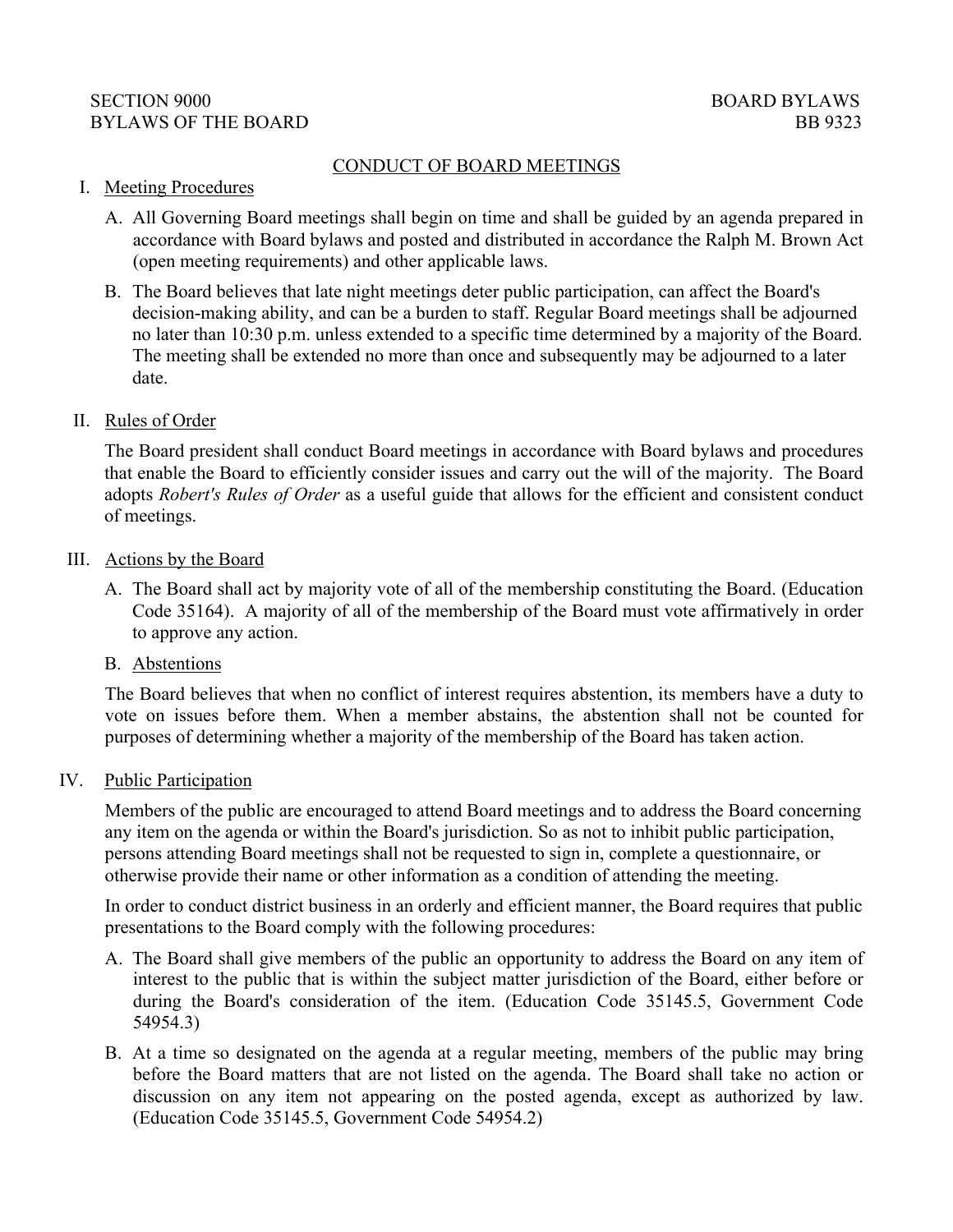# CONDUCT OF BOARD MEETINGS

#### I. Meeting Procedures

- A. All Governing Board meetings shall begin on time and shall be guided by an agenda prepared in accordance with Board bylaws and posted and distributed in accordance the Ralph M. Brown Act (open meeting requirements) and other applicable laws.
- B. The Board believes that late night meetings deter public participation, can affect the Board's decision-making ability, and can be a burden to staff. Regular Board meetings shall be adjourned no later than 10:30 p.m. unless extended to a specific time determined by a majority of the Board. The meeting shall be extended no more than once and subsequently may be adjourned to a later date.

#### II. Rules of Order

 The Board president shall conduct Board meetings in accordance with Board bylaws and procedures that enable the Board to efficiently consider issues and carry out the will of the majority. The Board adopts *Robert's Rules of Order* as a useful guide that allows for the efficient and consistent conduct of meetings.

#### III. Actions by the Board

 A. The Board shall act by majority vote of all of the membership constituting the Board. (Education Code 35164). A majority of all of the membership of the Board must vote affirmatively in order to approve any action.

## B. Abstentions

 The Board believes that when no conflict of interest requires abstention, its members have a duty to vote on issues before them. When a member abstains, the abstention shall not be counted for purposes of determining whether a majority of the membership of the Board has taken action.

#### IV. Public Participation

Members of the public are encouraged to attend Board meetings and to address the Board concerning any item on the agenda or within the Board's jurisdiction. So as not to inhibit public participation, persons attending Board meetings shall not be requested to sign in, complete a questionnaire, or otherwise provide their name or other information as a condition of attending the meeting.

In order to conduct district business in an orderly and efficient manner, the Board requires that public presentations to the Board comply with the following procedures:

- A. The Board shall give members of the public an opportunity to address the Board on any item of interest to the public that is within the subject matter jurisdiction of the Board, either before or during the Board's consideration of the item. (Education Code 35145.5, Government Code 54954.3)
- B. At a time so designated on the agenda at a regular meeting, members of the public may bring before the Board matters that are not listed on the agenda. The Board shall take no action or discussion on any item not appearing on the posted agenda, except as authorized by law. (Education Code 35145.5, Government Code 54954.2)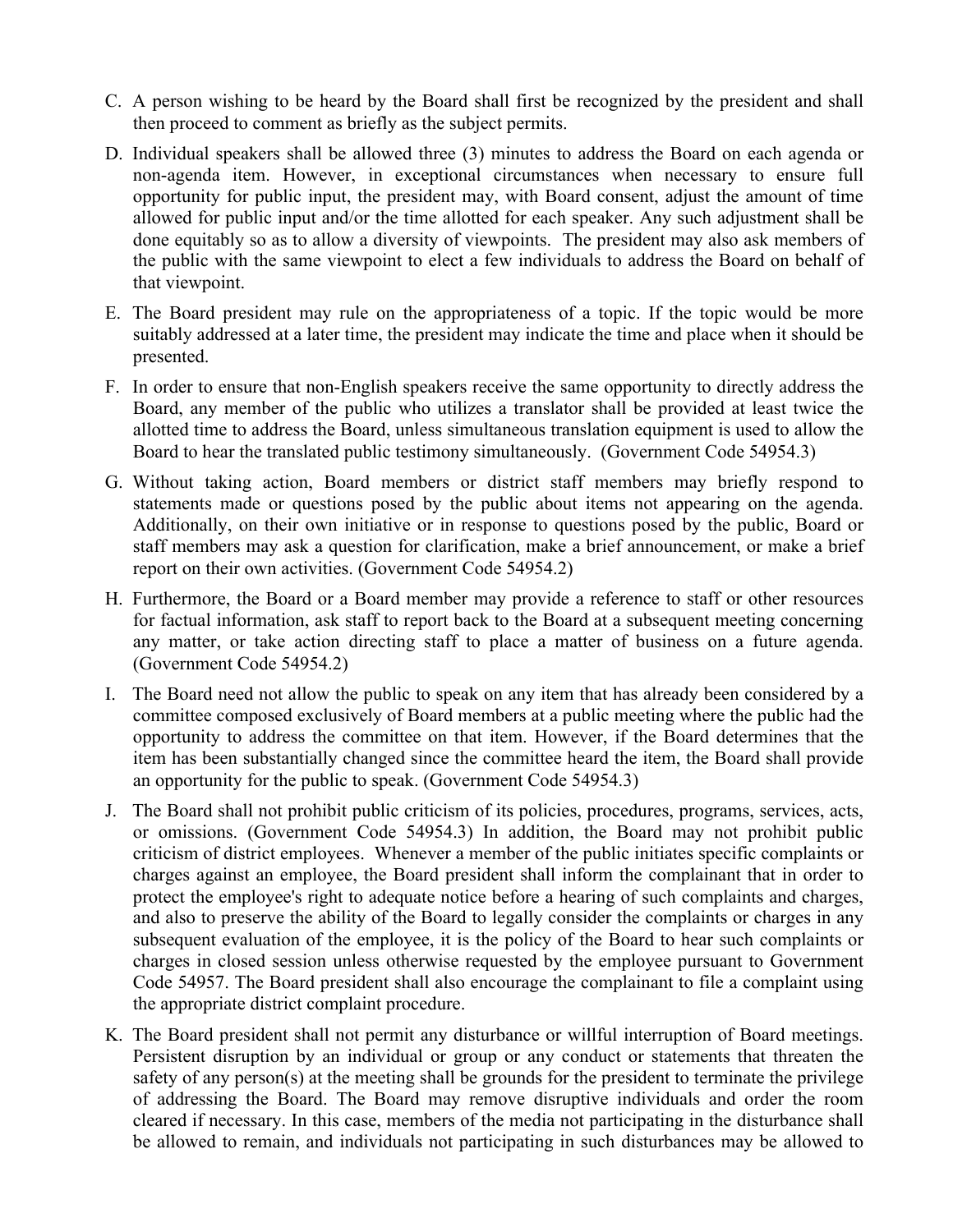- C. A person wishing to be heard by the Board shall first be recognized by the president and shall then proceed to comment as briefly as the subject permits.
- D. Individual speakers shall be allowed three (3) minutes to address the Board on each agenda or non-agenda item. However, in exceptional circumstances when necessary to ensure full opportunity for public input, the president may, with Board consent, adjust the amount of time allowed for public input and/or the time allotted for each speaker. Any such adjustment shall be done equitably so as to allow a diversity of viewpoints. The president may also ask members of the public with the same viewpoint to elect a few individuals to address the Board on behalf of that viewpoint.
- E. The Board president may rule on the appropriateness of a topic. If the topic would be more suitably addressed at a later time, the president may indicate the time and place when it should be presented.
- F. In order to ensure that non-English speakers receive the same opportunity to directly address the Board, any member of the public who utilizes a translator shall be provided at least twice the allotted time to address the Board, unless simultaneous translation equipment is used to allow the Board to hear the translated public testimony simultaneously. (Government Code 54954.3)
- G. Without taking action, Board members or district staff members may briefly respond to statements made or questions posed by the public about items not appearing on the agenda. staff members may ask a question for clarification, make a brief announcement, or make a brief report on their own activities. (Government Code 54954.2) Additionally, on their own initiative or in response to questions posed by the public, Board or
- H. Furthermore, the Board or a Board member may provide a reference to staff or other resources for factual information, ask staff to report back to the Board at a subsequent meeting concerning any matter, or take action directing staff to place a matter of business on a future agenda. (Government Code 54954.2)
- I. The Board need not allow the public to speak on any item that has already been considered by a committee composed exclusively of Board members at a public meeting where the public had the opportunity to address the committee on that item. However, if the Board determines that the item has been substantially changed since the committee heard the item, the Board shall provide an opportunity for the public to speak. (Government Code 54954.3)
- J. The Board shall not prohibit public criticism of its policies, procedures, programs, services, acts, or omissions. (Government Code 54954.3) In addition, the Board may not prohibit public criticism of district employees. Whenever a member of the public initiates specific complaints or charges against an employee, the Board president shall inform the complainant that in order to protect the employee's right to adequate notice before a hearing of such complaints and charges, and also to preserve the ability of the Board to legally consider the complaints or charges in any subsequent evaluation of the employee, it is the policy of the Board to hear such complaints or charges in closed session unless otherwise requested by the employee pursuant to Government Code 54957. The Board president shall also encourage the complainant to file a complaint using the appropriate district complaint procedure.
- K. The Board president shall not permit any disturbance or willful interruption of Board meetings. Persistent disruption by an individual or group or any conduct or statements that threaten the safety of any person(s) at the meeting shall be grounds for the president to terminate the privilege of addressing the Board. The Board may remove disruptive individuals and order the room cleared if necessary. In this case, members of the media not participating in the disturbance shall be allowed to remain, and individuals not participating in such disturbances may be allowed to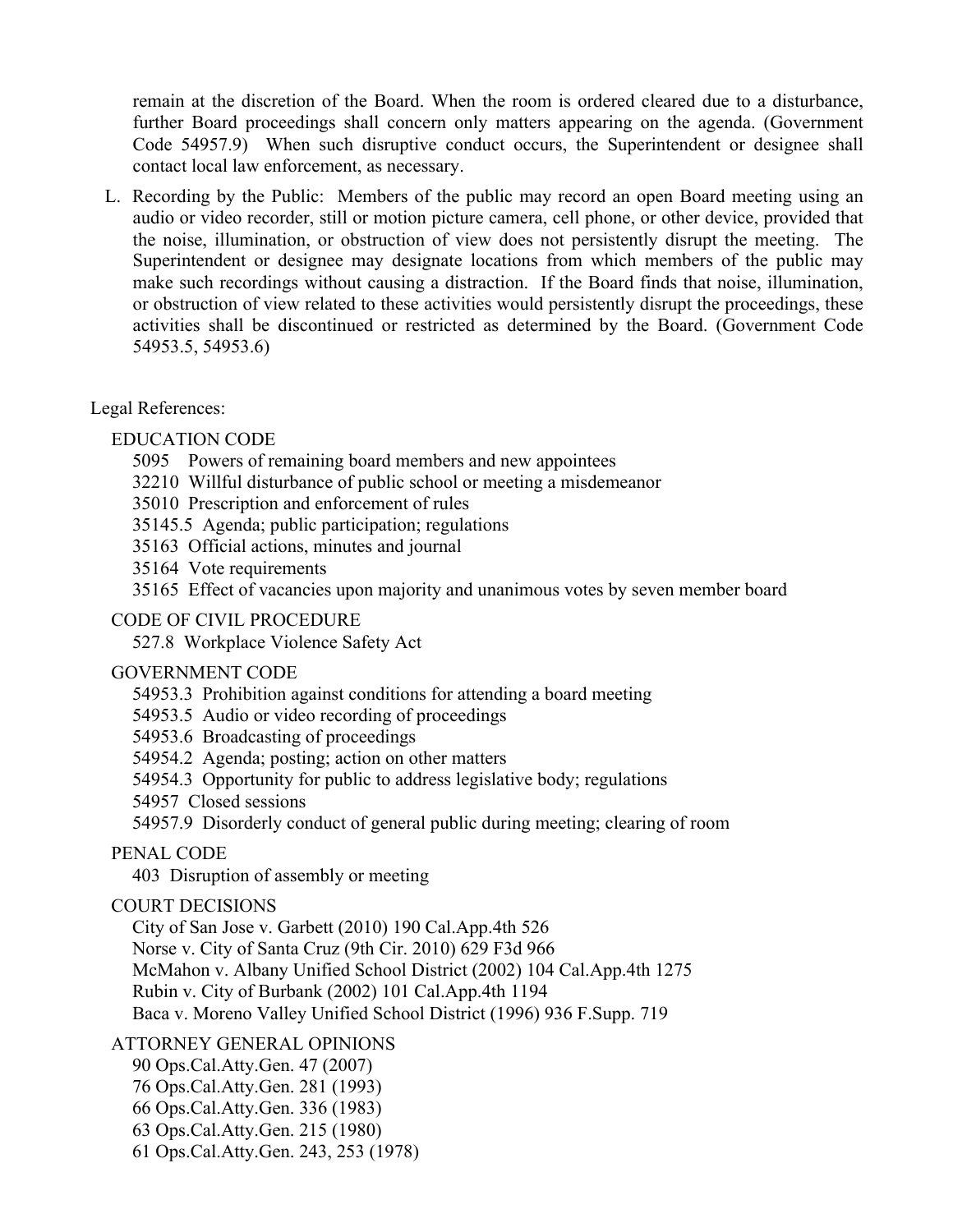remain at the discretion of the Board. When the room is ordered cleared due to a disturbance, further Board proceedings shall concern only matters appearing on the agenda. (Government Code 54957.9) When such disruptive conduct occurs, the Superintendent or designee shall contact local law enforcement, as necessary.

 L. Recording by the Public: Members of the public may record an open Board meeting using an audio or video recorder, still or motion picture camera, cell phone, or other device, provided that the noise, illumination, or obstruction of view does not persistently disrupt the meeting. The Superintendent or designee may designate locations from which members of the public may make such recordings without causing a distraction. If the Board finds that noise, illumination, or obstruction of view related to these activities would persistently disrupt the proceedings, these activities shall be discontinued or restricted as determined by the Board. (Government Code 54953.5, 54953.6)

## Legal References:

# EDUCATION CODE

- 5095 Powers of remaining board members and new appointees
- 32210 Willful disturbance of public school or meeting a misdemeanor
- 35010 Prescription and enforcement of rules
- 35145.5 Agenda; public participation; regulations
- 35163 Official actions, minutes and journal
- 35164 Vote requirements
- 35165 Effect of vacancies upon majority and unanimous votes by seven member board

## CODE OF CIVIL PROCEDURE

527.8 Workplace Violence Safety Act

## GOVERNMENT CODE

- 54953.3 Prohibition against conditions for attending a board meeting
- 54953.5 Audio or video recording of proceedings
- 54953.6 Broadcasting of proceedings
- 54954.2 Agenda; posting; action on other matters
- 54954.3 Opportunity for public to address legislative body; regulations
- 54957 Closed sessions
- 54957.9 Disorderly conduct of general public during meeting; clearing of room

# PENAL CODE

403 Disruption of assembly or meeting

# COURT DECISIONS

City of San Jose v. Garbett (2010) 190 Cal.App.4th 526 Norse v. City of Santa Cruz (9th Cir. 2010) 629 F3d 966 McMahon v. Albany Unified School District (2002) 104 Cal.App.4th 1275 Rubin v. City of Burbank (2002) 101 Cal.App.4th 1194 Baca v. Moreno Valley Unified School District (1996) 936 F.Supp. 719

ATTORNEY GENERAL OPINIONS

- 90 Ops.Cal.Atty.Gen. 47 (2007)
- 76 Ops.Cal.Atty.Gen. 281 (1993)
- 66 Ops.Cal.Atty.Gen. 336 (1983)
- 63 Ops.Cal.Atty.Gen. 215 (1980)
- 61 Ops.Cal.Atty.Gen. 243, 253 (1978)